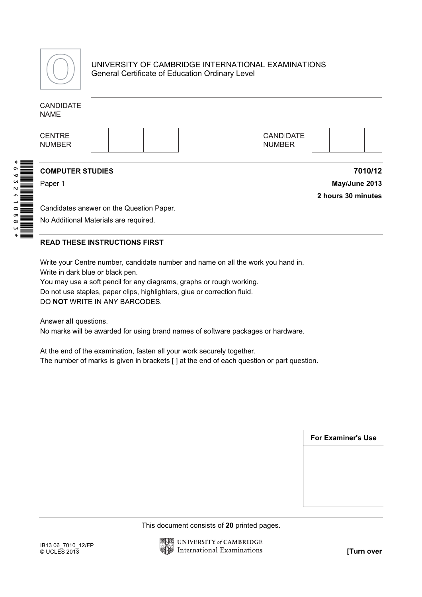

241088

## UNIVERSITY OF CAMBRIDGE INTERNATIONAL EXAMINATIONS General Certificate of Education Ordinary Level

|                                                                | <b>CANDIDATE</b><br><b>NAME</b>                                                            |                                          |  |  |  |  |                                                                                                                                                                                                                                                                                                                                                                                                                                                                                                  |  |  |  |                           |                    |
|----------------------------------------------------------------|--------------------------------------------------------------------------------------------|------------------------------------------|--|--|--|--|--------------------------------------------------------------------------------------------------------------------------------------------------------------------------------------------------------------------------------------------------------------------------------------------------------------------------------------------------------------------------------------------------------------------------------------------------------------------------------------------------|--|--|--|---------------------------|--------------------|
|                                                                | <b>CENTRE</b><br><b>NUMBER</b>                                                             |                                          |  |  |  |  | <b>CANDIDATE</b><br><b>NUMBER</b>                                                                                                                                                                                                                                                                                                                                                                                                                                                                |  |  |  |                           |                    |
|                                                                | <b>COMPUTER STUDIES</b>                                                                    |                                          |  |  |  |  |                                                                                                                                                                                                                                                                                                                                                                                                                                                                                                  |  |  |  |                           | 7010/12            |
|                                                                | Paper 1                                                                                    |                                          |  |  |  |  |                                                                                                                                                                                                                                                                                                                                                                                                                                                                                                  |  |  |  |                           | May/June 2013      |
|                                                                |                                                                                            |                                          |  |  |  |  |                                                                                                                                                                                                                                                                                                                                                                                                                                                                                                  |  |  |  |                           | 2 hours 30 minutes |
| $\begin{array}{c}\n\bullet \\ \bullet \\ \bullet\n\end{array}$ |                                                                                            | Candidates answer on the Question Paper. |  |  |  |  |                                                                                                                                                                                                                                                                                                                                                                                                                                                                                                  |  |  |  |                           |                    |
|                                                                | No Additional Materials are required.                                                      |                                          |  |  |  |  |                                                                                                                                                                                                                                                                                                                                                                                                                                                                                                  |  |  |  |                           |                    |
|                                                                | <b>READ THESE INSTRUCTIONS FIRST</b>                                                       |                                          |  |  |  |  |                                                                                                                                                                                                                                                                                                                                                                                                                                                                                                  |  |  |  |                           |                    |
|                                                                | Write in dark blue or black pen.<br>DO NOT WRITE IN ANY BARCODES.<br>Answer all questions. |                                          |  |  |  |  | Write your Centre number, candidate number and name on all the work you hand in.<br>You may use a soft pencil for any diagrams, graphs or rough working.<br>Do not use staples, paper clips, highlighters, glue or correction fluid.<br>No marks will be awarded for using brand names of software packages or hardware.<br>At the end of the examination, fasten all your work securely together.<br>The number of marks is given in brackets [ ] at the end of each question or part question. |  |  |  |                           |                    |
|                                                                |                                                                                            |                                          |  |  |  |  |                                                                                                                                                                                                                                                                                                                                                                                                                                                                                                  |  |  |  | <b>For Examiner's Use</b> |                    |
|                                                                |                                                                                            |                                          |  |  |  |  |                                                                                                                                                                                                                                                                                                                                                                                                                                                                                                  |  |  |  |                           |                    |
|                                                                |                                                                                            |                                          |  |  |  |  |                                                                                                                                                                                                                                                                                                                                                                                                                                                                                                  |  |  |  |                           |                    |
|                                                                |                                                                                            |                                          |  |  |  |  |                                                                                                                                                                                                                                                                                                                                                                                                                                                                                                  |  |  |  |                           |                    |
|                                                                |                                                                                            |                                          |  |  |  |  |                                                                                                                                                                                                                                                                                                                                                                                                                                                                                                  |  |  |  |                           |                    |
|                                                                |                                                                                            |                                          |  |  |  |  |                                                                                                                                                                                                                                                                                                                                                                                                                                                                                                  |  |  |  |                           |                    |
|                                                                |                                                                                            |                                          |  |  |  |  | This document consists of 20 printed pages.                                                                                                                                                                                                                                                                                                                                                                                                                                                      |  |  |  |                           |                    |
|                                                                | IB13 06_7010_12/FP<br>© UCLES 2013                                                         |                                          |  |  |  |  | UNIVERSITY of CAMBRIDGE<br><b>International Examinations</b>                                                                                                                                                                                                                                                                                                                                                                                                                                     |  |  |  |                           | [Turn over         |

## READ THESE INSTRUCTIONS FIRST

| <b>For Examiner's Use</b> |  |
|---------------------------|--|
|                           |  |
|                           |  |
|                           |  |
|                           |  |

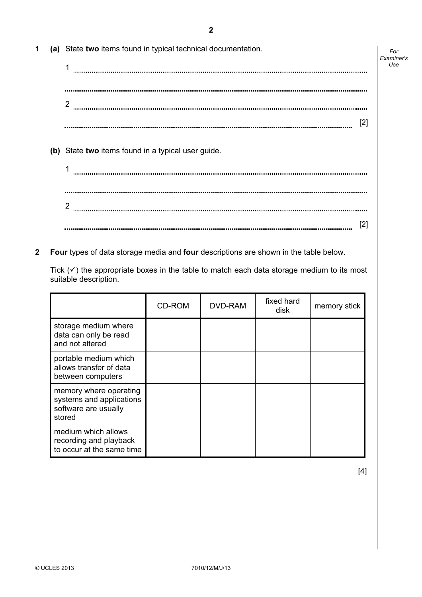2

| 1 | (a) State two items found in typical technical documentation. |
|---|---------------------------------------------------------------|
|   |                                                               |
|   |                                                               |
|   | 2                                                             |
|   | [2]                                                           |
|   |                                                               |
|   | (b) State two items found in a typical user guide.            |
|   |                                                               |
|   |                                                               |

[2] 

 $2\footnotesize\begin{array}{l}\rule{0pt}{10pt}\\ \rule{0pt}{10pt}\\ \rule{0pt}{10pt}\\ \rule{0pt}{10pt}\\ \rule{0pt}{10pt}\\ \rule{0pt}{10pt}\\ \rule{0pt}{10pt}\\ \rule{0pt}{10pt}\\ \rule{0pt}{10pt}\\ \rule{0pt}{10pt}\\ \rule{0pt}{10pt}\\ \rule{0pt}{10pt}\\ \rule{0pt}{10pt}\\ \rule{0pt}{10pt}\\ \rule{0pt}{10pt}\\ \rule{0pt}{10pt}\\ \rule{0pt}{10pt}\\ \rule{0pt}{10pt}\\ \rule{0pt}{10pt}\\ \rule{0pt}{10pt}\\ \rule{0pt}{10pt$ 

**2** Four types of data storage media and four descriptions are shown in the table below.

Tick  $(\checkmark)$  the appropriate boxes in the table to match each data storage medium to its most suitable description.

|                                                                                      | CD-ROM | DVD-RAM | fixed hard<br>disk | memory stick |
|--------------------------------------------------------------------------------------|--------|---------|--------------------|--------------|
| storage medium where<br>data can only be read<br>and not altered                     |        |         |                    |              |
| portable medium which<br>allows transfer of data<br>between computers                |        |         |                    |              |
| memory where operating<br>systems and applications<br>software are usually<br>stored |        |         |                    |              |
| medium which allows<br>recording and playback<br>to occur at the same time           |        |         |                    |              |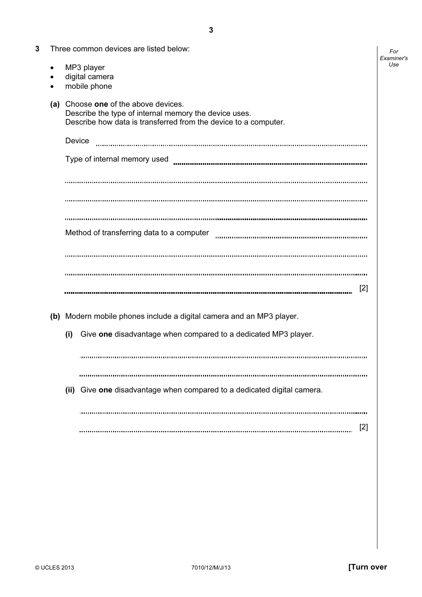| 3 |     |        | Three common devices are listed below:                                                                                                                       | For<br>Examiner's |
|---|-----|--------|--------------------------------------------------------------------------------------------------------------------------------------------------------------|-------------------|
|   |     |        | MP3 player<br>digital camera<br>mobile phone                                                                                                                 | Use               |
|   | (a) |        | Choose one of the above devices.<br>Describe the type of internal memory the device uses.<br>Describe how data is transferred from the device to a computer. |                   |
|   |     | Device | Type of internal memory used                                                                                                                                 |                   |
|   |     |        |                                                                                                                                                              |                   |
|   |     |        |                                                                                                                                                              |                   |
|   |     |        | Method of transferring data to a computer                                                                                                                    |                   |
|   |     |        | $[2]$                                                                                                                                                        |                   |
|   |     |        | (b) Modern mobile phones include a digital camera and an MP3 player.                                                                                         |                   |
|   |     | (i)    | Give one disadvantage when compared to a dedicated MP3 player.                                                                                               |                   |
|   |     |        |                                                                                                                                                              |                   |
|   |     |        | (ii) Give one disadvantage when compared to a dedicated digital camera.                                                                                      |                   |
|   |     |        | $[2]$                                                                                                                                                        |                   |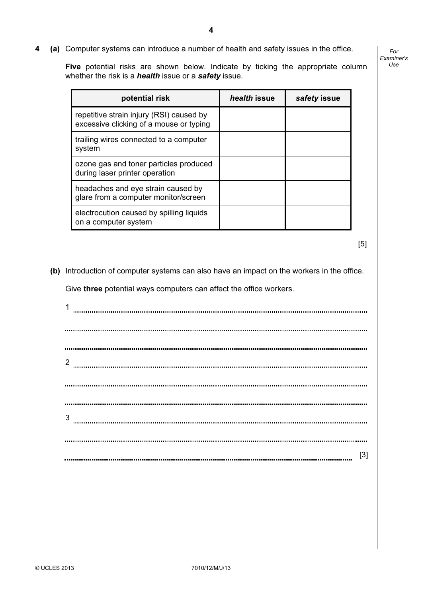4 (a) Computer systems can introduce a number of health and safety issues in the office.

Five potential risks are shown below. Indicate by ticking the appropriate column whether the risk is a *health* issue or a **safety** issue.

potential risk health issue safety issue repetitive strain injury (RSI) caused by excessive clicking of a mouse or typing trailing wires connected to a computer system ozone gas and toner particles produced during laser printer operation headaches and eye strain caused by glare from a computer monitor/screen electrocution caused by spilling liquids on a computer system

 $[5]$ 

For Examiner's  $1$ se

(b) Introduction of computer systems can also have an impact on the workers in the office.

Give three potential ways computers can affect the office workers.

1 2  $3 \hskip 1.5cm \mu$ [3]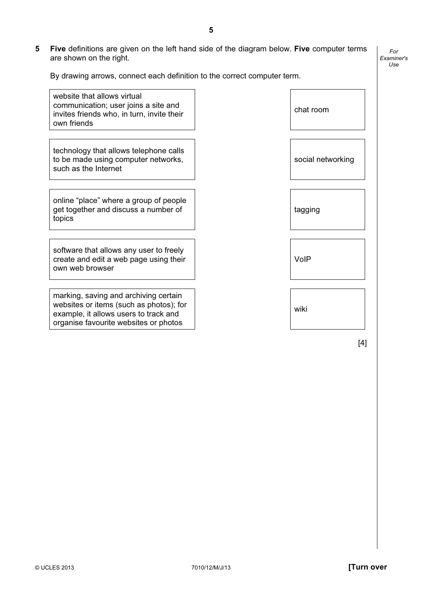$\overline{\Gamma}$ 

5 Five definitions are given on the left hand side of the diagram below. Five computer terms are shown on the right.

 $\overline{\mathbf{1}}$ 

By drawing arrows, connect each definition to the correct computer term.

| website that allows virtual<br>communication; user joins a site and<br>invites friends who, in turn, invite their<br>own friends                                   | chat room         |
|--------------------------------------------------------------------------------------------------------------------------------------------------------------------|-------------------|
| technology that allows telephone calls<br>to be made using computer networks,<br>such as the Internet                                                              | social networking |
| online "place" where a group of people<br>get together and discuss a number of<br>topics                                                                           | tagging           |
| software that allows any user to freely<br>create and edit a web page using their<br>own web browser                                                               | VolP              |
| marking, saving and archiving certain<br>websites or items (such as photos); for<br>example, it allows users to track and<br>organise favourite websites or photos | wiki              |

 $[4]$ 

For Examiner's Use

 $\overline{\mathsf{L}}$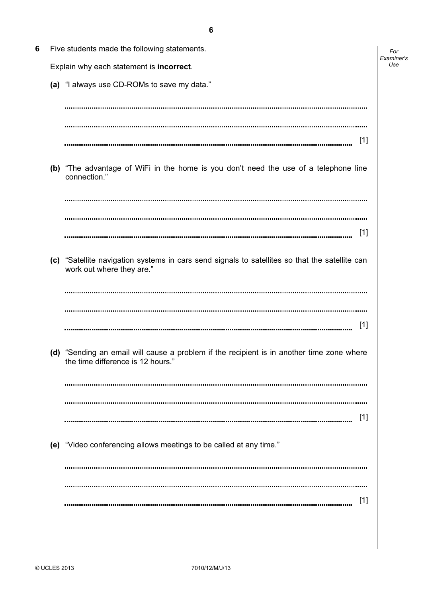| 6 | Five students made the following statements.                                                                                   | For               |
|---|--------------------------------------------------------------------------------------------------------------------------------|-------------------|
|   | Explain why each statement is incorrect.                                                                                       | Examiner's<br>Use |
|   | (a) "I always use CD-ROMs to save my data."                                                                                    |                   |
|   |                                                                                                                                |                   |
|   |                                                                                                                                |                   |
|   | $[1]$                                                                                                                          |                   |
|   | (b) "The advantage of WiFi in the home is you don't need the use of a telephone line<br>connection."                           |                   |
|   |                                                                                                                                |                   |
|   |                                                                                                                                |                   |
|   | $[1]$                                                                                                                          |                   |
|   | (c) "Satellite navigation systems in cars send signals to satellites so that the satellite can<br>work out where they are."    |                   |
|   |                                                                                                                                |                   |
|   |                                                                                                                                |                   |
|   | $[1]$                                                                                                                          |                   |
|   | (d) "Sending an email will cause a problem if the recipient is in another time zone where<br>the time difference is 12 hours." |                   |
|   |                                                                                                                                |                   |
|   |                                                                                                                                |                   |
|   | [1]                                                                                                                            |                   |
|   | (e) "Video conferencing allows meetings to be called at any time."                                                             |                   |
|   |                                                                                                                                |                   |
|   | [1]                                                                                                                            |                   |
|   |                                                                                                                                |                   |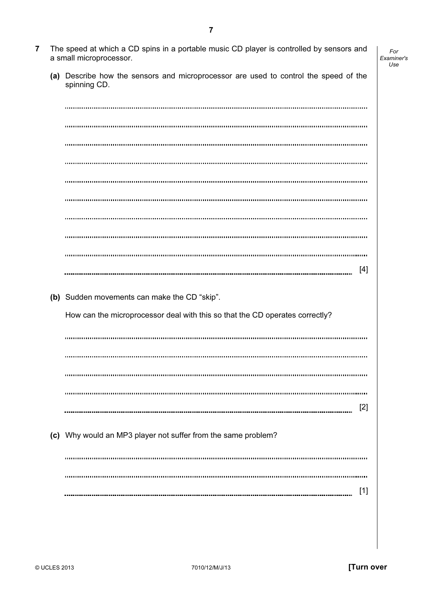[2] [1]

| © UCLES 2013 | 7010/12/M/J/13 | <b>Turn over</b> |
|--------------|----------------|------------------|
|              |                |                  |

| (a) Describe how the sensors and microprocessor are used to control the speed of the<br>spinning CD. |
|------------------------------------------------------------------------------------------------------|
|                                                                                                      |
|                                                                                                      |
|                                                                                                      |
|                                                                                                      |
|                                                                                                      |
|                                                                                                      |
|                                                                                                      |
|                                                                                                      |
| $[4]$                                                                                                |
|                                                                                                      |
| (b) Sudden movements can make the CD "skip".                                                         |
| How can the microprocessor deal with this so that the CD operates correctly?                         |
|                                                                                                      |
|                                                                                                      |
|                                                                                                      |
|                                                                                                      |
| $[2]$                                                                                                |
| (c) Why would an MP3 player not suffer from the same problem?                                        |
|                                                                                                      |
|                                                                                                      |
| $[1]$                                                                                                |
|                                                                                                      |

7 The speed at which a CD spins in a portable music CD player is controlled by sensors and a small microprocessor.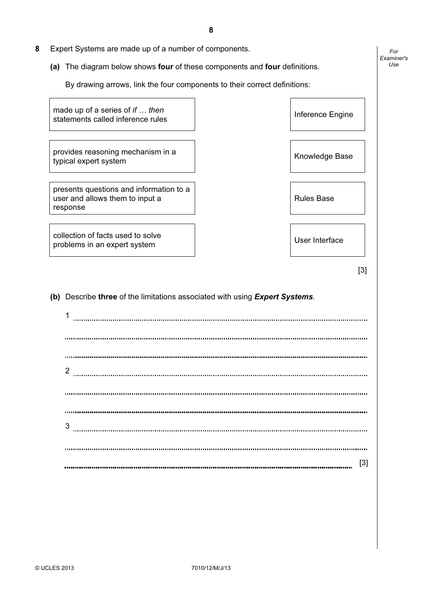- 8 Expert Systems are made up of a number of components.
	- (a) The diagram below shows four of these components and four definitions.

By drawing arrows, link the four components to their correct definitions:

made up of a series of if ... then statements called inference rules International Contract Contract Contract Contract Contract Contract Contract<br>Inference Engine

provides reasoning mechanism in a provides reasoning inecriams in the set of the set of the Knowledge Base<br>typical expert system

presents questions and information to a user and allows them to input a response

collection of facts used to solve problems in an expert system User Interface<br>problems in an expert system User Interface

Rules Base

 $[3]$ 

For Examiner's Use

(b) Describe three of the limitations associated with using Expert Systems.

1 2 3 [3]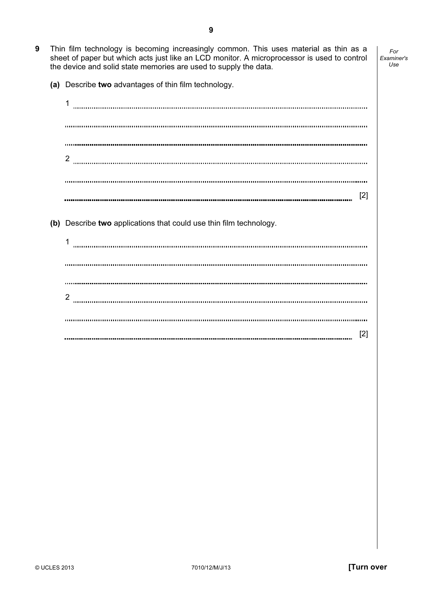- 9 Thin film technology is becoming increasingly common. This uses material as thin as a sheet of paper but which acts just like an LCD monitor. A microprocessor is used to control the device and solid state memories are used to supply the data.
	- (a) Describe two advantages of thin film technology.

1 2 [2] (b) Describe two applications that could use thin film technology. 1 2 [2]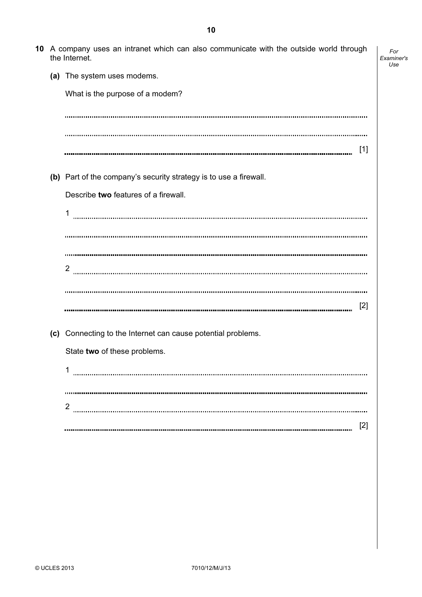|  | 10 A company uses an intranet which can also communicate with the outside world through<br>the Internet. | For<br>Examiner's<br>Use |
|--|----------------------------------------------------------------------------------------------------------|--------------------------|
|  | (a) The system uses modems.                                                                              |                          |
|  | What is the purpose of a modem?                                                                          |                          |
|  |                                                                                                          |                          |
|  |                                                                                                          |                          |
|  | $[1]$                                                                                                    |                          |
|  | (b) Part of the company's security strategy is to use a firewall.                                        |                          |
|  | Describe two features of a firewall.                                                                     |                          |
|  | 1                                                                                                        |                          |
|  |                                                                                                          |                          |
|  |                                                                                                          |                          |
|  | 2                                                                                                        |                          |
|  |                                                                                                          |                          |
|  | [2]                                                                                                      |                          |
|  | (c) Connecting to the Internet can cause potential problems.                                             |                          |
|  | State two of these problems.                                                                             |                          |
|  | 1                                                                                                        |                          |
|  |                                                                                                          |                          |
|  | $\overline{2}$                                                                                           |                          |
|  | [2]                                                                                                      |                          |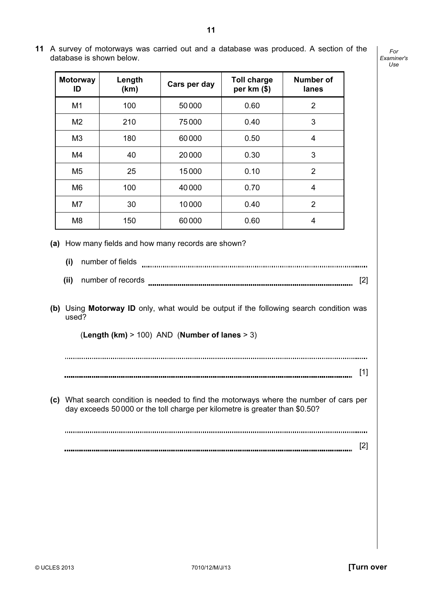- **Motorway** Number of Length ength  $\begin{array}{|c|c|c|}\n\hline\n(km) & \text{Cars per day} & \text{Toll charge} \\
\hline\n\end{array}$ ID per km (\$) lanes M1 | 100 | 50 000 | 0.60 | 2 M2 | 210 | 75 000 | 0.40 | 3 M3 | 180 | 60 000 | 0.50 | 4 M4 | 40 | 20 000 | 0.30 | 3 M5 | 25 | 15000 | 0.10 | 2 M6 | 100 | 40 000 | 0.70 | 4 M7 | 30 | 10 000 | 0.40 | 2 M8 | 150 | 60 000 | 0.60 | 4 (a) How many fields and how many records are shown? (i) number of fields  $(ii)$  number of records  $[2]$  (b) Using Motorway ID only, what would be output if the following search condition was used? (Length (km)  $> 100$ ) AND (Number of lanes  $> 3$ ) [1]
- 11 A survey of motorways was carried out and a database was produced. A section of the database is shown below.

For Examiner's Use

 (c) What search condition is needed to find the motorways where the number of cars per day exceeds 50000 or the toll charge per kilometre is greater than \$0.50?

[2]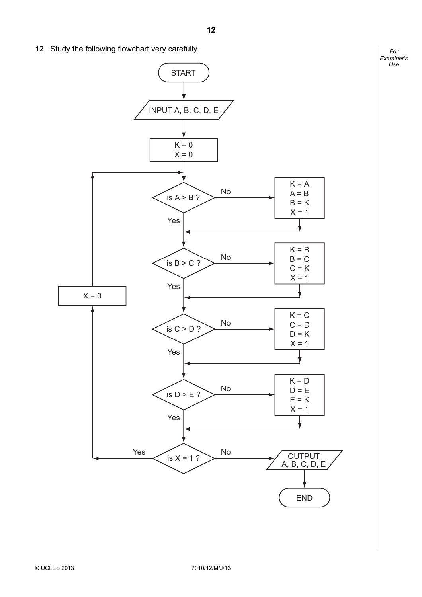12 Study the following flowchart very carefully.

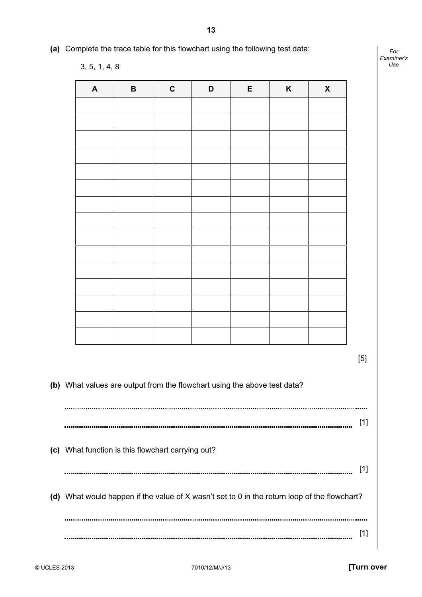(a) Complete the trace table for this flowchart using the following test data:

| $\blacktriangle$ | $\, {\bf B}$ | $\mathbf C$ | D | E | $\boldsymbol{\mathsf{K}}$ | $\pmb{\chi}$ |
|------------------|--------------|-------------|---|---|---------------------------|--------------|
|                  |              |             |   |   |                           |              |
|                  |              |             |   |   |                           |              |
|                  |              |             |   |   |                           |              |
|                  |              |             |   |   |                           |              |
|                  |              |             |   |   |                           |              |
|                  |              |             |   |   |                           |              |
|                  |              |             |   |   |                           |              |
|                  |              |             |   |   |                           |              |
|                  |              |             |   |   |                           |              |
|                  |              |             |   |   |                           |              |
|                  |              |             |   |   |                           |              |
|                  |              |             |   |   |                           |              |
|                  |              |             |   |   |                           |              |
|                  |              |             |   |   |                           |              |
|                  |              |             |   |   |                           |              |

 $[5]$ 

 (b) What values are output from the flowchart using the above test data? [1] (c) What function is this flowchart carrying out? [1] (d) What would happen if the value of X wasn't set to 0 in the return loop of the flowchart? [1]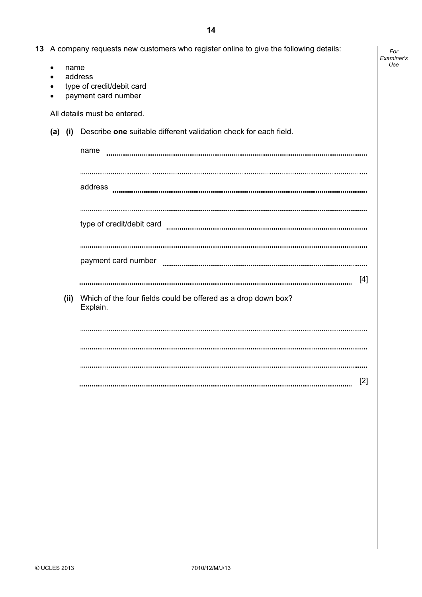For Examiner's Use

| 13 A company requests new customers who register online to give the following details: |  |
|----------------------------------------------------------------------------------------|--|
|----------------------------------------------------------------------------------------|--|

• name

- address
- type of credit/debit card
- payment card number

All details must be entered.

(a) (i) Describe one suitable different validation check for each field.

|      | name                                                                      |
|------|---------------------------------------------------------------------------|
|      |                                                                           |
|      | address                                                                   |
|      |                                                                           |
|      | type of credit/debit card minimum minimum minimum minimum minimum minimum |
|      |                                                                           |
|      | payment card number                                                       |
|      | [4]                                                                       |
| (ii) | Which of the four fields could be offered as a drop down box?<br>Explain. |
|      |                                                                           |
|      |                                                                           |
|      |                                                                           |
|      | $[2]$                                                                     |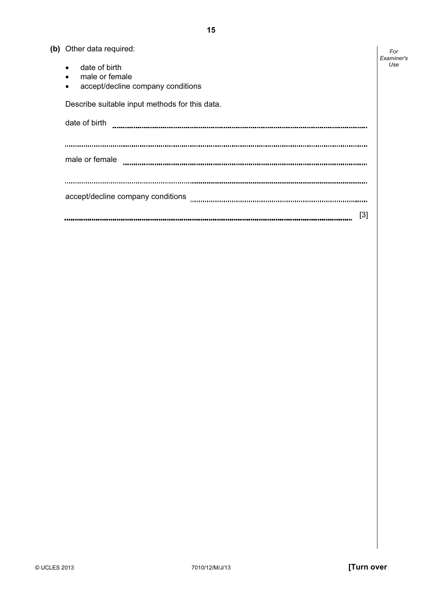|  | (b) Other data required: |  |
|--|--------------------------|--|
|--|--------------------------|--|

| (b) Other data required:                       | For<br>Examiner's |
|------------------------------------------------|-------------------|
| date of birth<br>$\bullet$                     | Use               |
| male or female<br>$\bullet$                    |                   |
| accept/decline company conditions<br>$\bullet$ |                   |
| Describe suitable input methods for this data. |                   |
| date of birth                                  |                   |
|                                                |                   |
| male or female                                 |                   |
|                                                |                   |
|                                                |                   |
| accept/decline company conditions              |                   |
| [3]                                            |                   |

 $\overline{\phantom{a}}$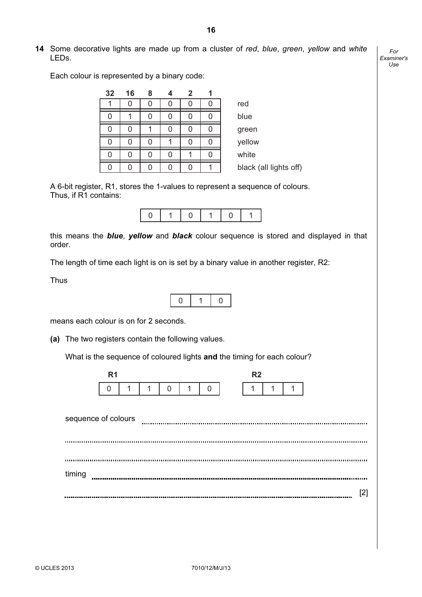14 Some decorative lights are made up from a cluster of red, blue, green, yellow and white LEDs.

For Examiner's  $1$ se

Each colour is represented by a binary code:

| 32  | 16 | 8 |  |                        |
|-----|----|---|--|------------------------|
|     |    |   |  | red                    |
|     |    |   |  | blue                   |
|     |    |   |  | green                  |
| ( ) |    |   |  | yellow                 |
| 0   |    |   |  | white                  |
|     |    |   |  | black (all lights off) |

 A 6-bit register, R1, stores the 1-values to represent a sequence of colours. Thus, if R1 contains:

|--|--|--|--|--|--|

this means the **blue**, yellow and **black** colour sequence is stored and displayed in that order.

The length of time each light is on is set by a binary value in another register, R2:

Thus



means each colour is on for 2 seconds.

(a) The two registers contain the following values.

What is the sequence of coloured lights and the timing for each colour?



sequence of colours timing  $\begin{minipage}{0.9\linewidth} \begin{tabular}{l} \hline \textbf{0.01} \end{tabular} \end{minipage} \begin{minipage}{0.9\linewidth} \begin{tabular}{l} \hline \textbf{0.01} \end{tabular} \end{minipage} \begin{minipage}{0.9\linewidth} \begin{tabular}{l} \hline \textbf{0.01} \end{tabular} \end{minipage} \end{minipage} \begin{minipage}{0.9\linewidth} \begin{tabular}{l} \hline \textbf{0.01} \end{tabular} \end{minipage} \end{minipage} \begin{minipage}{0.9\linewidth} \begin{tabular}{l} \$ [2]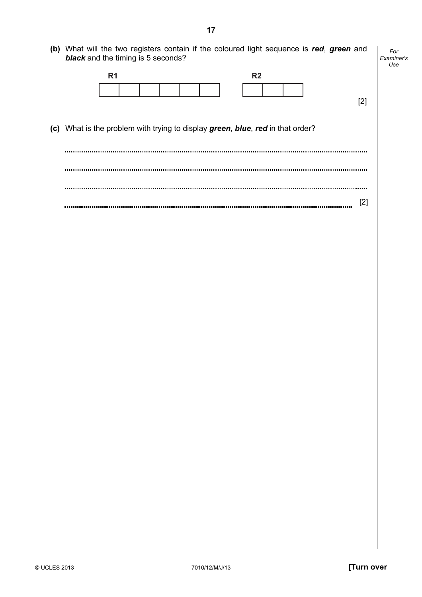|                                                                                | R <sub>1</sub> |  | R <sub>2</sub> |  |       |  |
|--------------------------------------------------------------------------------|----------------|--|----------------|--|-------|--|
|                                                                                |                |  |                |  |       |  |
|                                                                                |                |  |                |  | $[2]$ |  |
|                                                                                |                |  |                |  |       |  |
|                                                                                |                |  |                |  |       |  |
|                                                                                |                |  |                |  |       |  |
|                                                                                |                |  |                |  |       |  |
|                                                                                |                |  |                |  |       |  |
|                                                                                |                |  |                |  |       |  |
|                                                                                |                |  |                |  |       |  |
| (c) What is the problem with trying to display green, blue, red in that order? |                |  |                |  |       |  |
|                                                                                |                |  |                |  |       |  |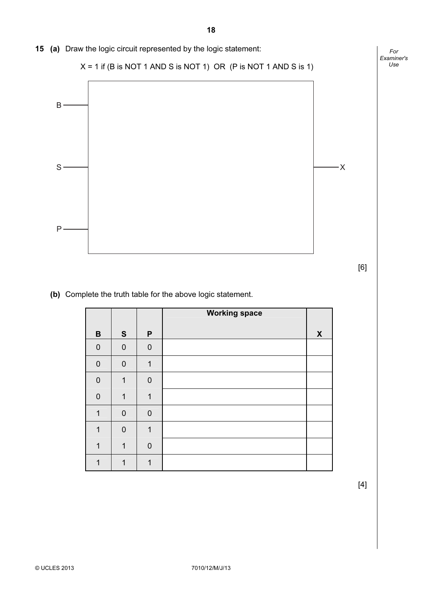

 $[6]$ 

## (b) Complete the truth table for the above logic statement.

|                  |                |                | <b>Working space</b> |   |
|------------------|----------------|----------------|----------------------|---|
| $\, {\bf B}$     | S              | P              |                      | X |
| $\mathbf 0$      | $\mathbf 0$    | $\overline{0}$ |                      |   |
| $\boldsymbol{0}$ | $\overline{0}$ | 1              |                      |   |
| $\mathbf 0$      | 1              | $\mathbf 0$    |                      |   |
| $\overline{0}$   | 1              | $\mathbf{1}$   |                      |   |
| $\mathbf{1}$     | $\overline{0}$ | $\overline{0}$ |                      |   |
| 1                | $\overline{0}$ | $\mathbf{1}$   |                      |   |
| 1                | 1              | $\overline{0}$ |                      |   |
| 1                | 1              | 1              |                      |   |

 $[4]$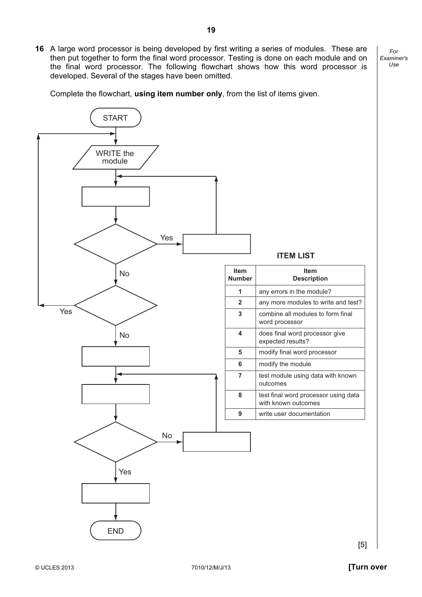For Examiner's  $1$ se 16 A large word processor is being developed by first writing a series of modules. These are then put together to form the final word processor. Testing is done on each module and on the final word processor. The following flowchart shows how this word processor is

Complete the flowchart, using item number only, from the list of items given.

developed. Several of the stages have been omitted.